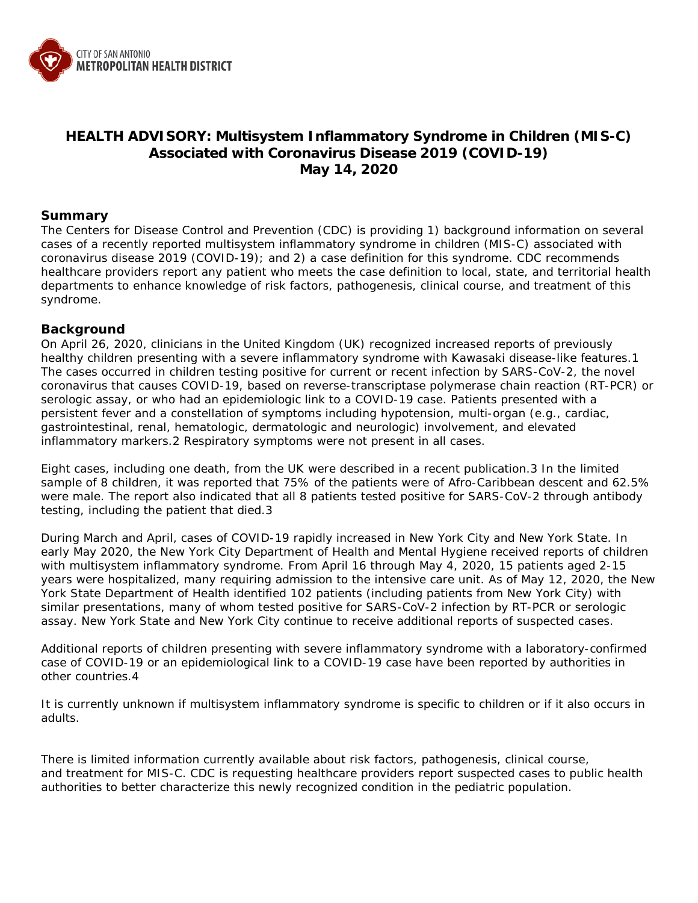

# **HEALTH ADVISORY: Multisystem Inflammatory Syndrome in Children (MIS-C) Associated with Coronavirus Disease 2019 (COVID-19) May 14, 2020**

### **Summary**

The Centers for Disease Control and Prevention (CDC) is providing 1) background information on several cases of a recently reported multisystem inflammatory syndrome in children (MIS-C) associated with coronavirus disease 2019 (COVID-19); and 2) a case definition for this syndrome. CDC recommends healthcare providers report any patient who meets the case definition to local, state, and territorial health departments to enhance knowledge of risk factors, pathogenesis, clinical course, and treatment of this syndrome.

### **Background**

On April 26, 2020, clinicians in the United Kingdom (UK) recognized increased reports of previously healthy children presenting with a severe inflammatory syndrome with Kawasaki disease-like features.1 The cases occurred in children testing positive for current or recent infection by SARS-CoV-2, the novel coronavirus that causes COVID-19, based on reverse-transcriptase polymerase chain reaction (RT-PCR) or serologic assay, or who had an epidemiologic link to a COVID-19 case. Patients presented with a persistent fever and a constellation of symptoms including hypotension, multi-organ (e.g., cardiac, gastrointestinal, renal, hematologic, dermatologic and neurologic) involvement, and elevated inflammatory markers.2 Respiratory symptoms were not present in all cases.

Eight cases, including one death, from the UK were described in a recent publication.3 In the limited sample of 8 children, it was reported that 75% of the patients were of Afro-Caribbean descent and 62.5% were male. The report also indicated that all 8 patients tested positive for SARS-CoV-2 through antibody testing, including the patient that died.3

During March and April, cases of COVID-19 rapidly increased in New York City and New York State. In early May 2020, the New York City Department of Health and Mental Hygiene received reports of children with multisystem inflammatory syndrome. From April 16 through May 4, 2020, 15 patients aged 2-15 years were hospitalized, many requiring admission to the intensive care unit. As of May 12, 2020, the New York State Department of Health identified 102 patients (including patients from New York City) with similar presentations, many of whom tested positive for SARS-CoV-2 infection by RT-PCR or serologic assay. New York State and New York City continue to receive additional reports of suspected cases.

Additional reports of children presenting with severe inflammatory syndrome with a laboratory-confirmed case of COVID-19 or an epidemiological link to a COVID-19 case have been reported by authorities in other countries.4

It is currently unknown if multisystem inflammatory syndrome is specific to children or if it also occurs in adults.

There is limited information currently available about risk factors, pathogenesis, clinical course, and treatment for MIS-C. CDC is requesting healthcare providers report suspected cases to public health authorities to better characterize this newly recognized condition in the pediatric population.